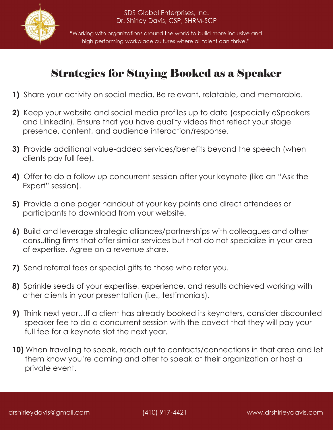

"Working with organizations around the world to build more inclusive and high performing workplace cultures where all talent can thrive."

## Strategies for Staying Booked as a Speaker

- **1)** Share your activity on social media. Be relevant, relatable, and memorable.
- **2)** Keep your website and social media profiles up to date (especially eSpeakers and LinkedIn). Ensure that you have quality videos that reflect your stage presence, content, and audience interaction/response.
- **3)** Provide additional value-added services/benefits beyond the speech (when clients pay full fee).
- **4)** Offer to do a follow up concurrent session after your keynote (like an "Ask the Expert" session).
- **5)** Provide a one pager handout of your key points and direct attendees or participants to download from your website.
- **6)** Build and leverage strategic alliances/partnerships with colleagues and other consulting firms that offer similar services but that do not specialize in your area of expertise. Agree on a revenue share.
- **7)** Send referral fees or special gifts to those who refer you.
- **8)** Sprinkle seeds of your expertise, experience, and results achieved working with other clients in your presentation (i.e., testimonials).
- **9)** Think next year…If a client has already booked its keynoters, consider discounted speaker fee to do a concurrent session with the caveat that they will pay your full fee for a keynote slot the next year.
- **10)** When traveling to speak, reach out to contacts/connections in that area and let them know you're coming and offer to speak at their organization or host a private event.